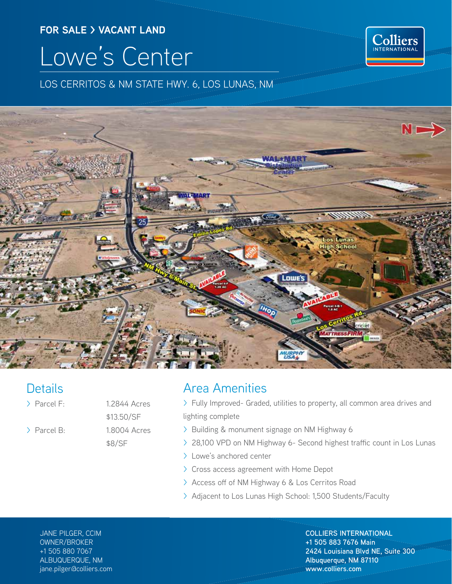## **FOR SALE > VACANT LAND**

# Lowe's Center

LOS CERRITOS & NM STATE HWY. 6, LOS LUNAS, NM



## **Details**

- 
- 

### > Parcel F: 1.2844 Acres \$13.50/SF > Parcel B: 1.8004 Acres \$8/SF

## Area Amenities

- > Fully Improved- Graded, utilities to property, all common area drives and lighting complete
- > Building & monument signage on NM Highway 6
- > 28,100 VPD on NM Highway 6- Second highest traffic count in Los Lunas
- > Lowe's anchored center
- > Cross access agreement with Home Depot
- > Access off of NM Highway 6 & Los Cerritos Road
- > Adjacent to Los Lunas High School: 1,500 Students/Faculty

JANE PILGER, CCIM OWNER/BROKER +1 505 880 7067 ALBUQUERQUE, NM jane.pilger@colliers.com

**COLLIERS INTERNATIONAL +1 505 883 7676 Main 2424 Louisiana Blvd NE, Suite 300 Albuquerque, NM 87110 www.colliers.com**

**Colliers**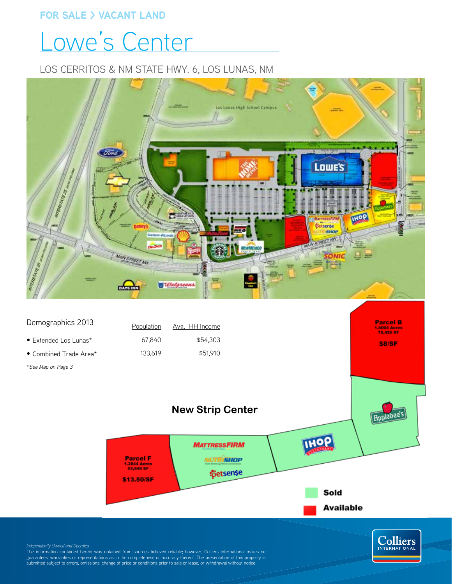#### **FOR SALE > VACANT LAND**

## Lowe's Center

#### LOS CERRITOS & NM STATE HWY. 6, LOS LUNAS, NM